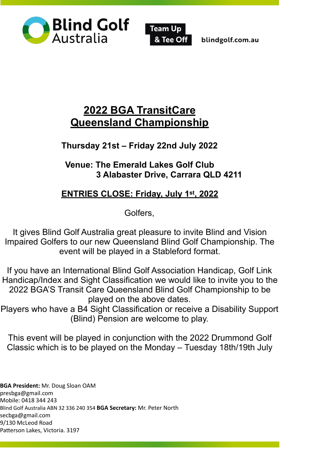



blindgolf.com.au

# **2022 BGA TransitCare Queensland Championship**

**Thursday 21st – Friday 22nd July 2022** 

**Venue: The Emerald Lakes Golf Club 3 Alabaster Drive, Carrara QLD 4211** 

## **ENTRIES CLOSE: Friday, July 1st, 2022**

Golfers,

It gives Blind Golf Australia great pleasure to invite Blind and Vision Impaired Golfers to our new Queensland Blind Golf Championship. The event will be played in a Stableford format.

If you have an International Blind Golf Association Handicap, Golf Link Handicap/Index and Sight Classification we would like to invite you to the 2022 BGA'S Transit Care Queensland Blind Golf Championship to be played on the above dates.

Players who have a B4 Sight Classification or receive a Disability Support (Blind) Pension are welcome to play.

This event will be played in conjunction with the 2022 Drummond Golf Classic which is to be played on the Monday – Tuesday 18th/19th July

**BGA President:** Mr. Doug Sloan OAM [presbga@gmail.com](mailto:presbga@gmail.com)  Mobile: 0418 344 243 Blind Golf Australia ABN 32 336 240 354 **BGA Secretary:** Mr. Peter North [secbga@gmail.com](mailto:secbga@gmail.com) 9/130 McLeod Road Patterson Lakes, Victoria. 3197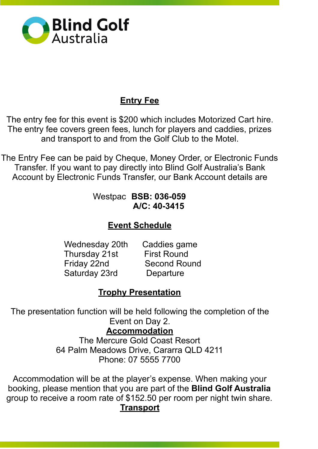

## **Entry Fee**

The entry fee for this event is \$200 which includes Motorized Cart hire. The entry fee covers green fees, lunch for players and caddies, prizes and transport to and from the Golf Club to the Motel.

The Entry Fee can be paid by Cheque, Money Order, or Electronic Funds Transfer. If you want to pay directly into Blind Golf Australia's Bank Account by Electronic Funds Transfer, our Bank Account details are

#### Westpac **BSB: 036-059 A/C: 40-3415**

## **Event Schedule**

 Wednesday 20th Caddies game Thursday 21st First Round Friday 22nd Second Round Saturday 23rd Departure

#### **Trophy Presentation**

The presentation function will be held following the completion of the Event on Day 2.

#### **Accommodation**

The Mercure Gold Coast Resort 64 Palm Meadows Drive, Cararra QLD 4211 Phone: 07 5555 7700

Accommodation will be at the player's expense. When making your booking, please mention that you are part of the **Blind Golf Australia**  group to receive a room rate of \$152.50 per room per night twin share. **Transport**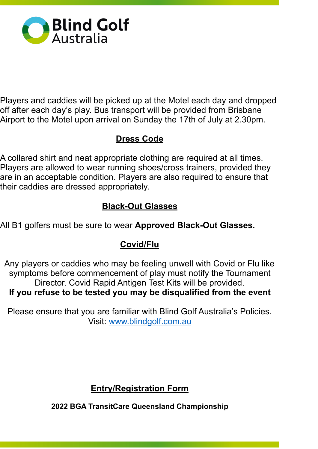

Players and caddies will be picked up at the Motel each day and dropped off after each day's play. Bus transport will be provided from Brisbane Airport to the Motel upon arrival on Sunday the 17th of July at 2.30pm.

### **Dress Code**

A collared shirt and neat appropriate clothing are required at all times. Players are allowed to wear running shoes/cross trainers, provided they are in an acceptable condition. Players are also required to ensure that their caddies are dressed appropriately.

#### **Black-Out Glasses**

All B1 golfers must be sure to wear **Approved Black-Out Glasses.** 

#### **Covid/Flu**

Any players or caddies who may be feeling unwell with Covid or Flu like symptoms before commencement of play must notify the Tournament Director. Covid Rapid Antigen Test Kits will be provided. **If you refuse to be tested you may be disqualified from the event** 

Please ensure that you are familiar with Blind Golf Australia's Policies. Visit: www.blindgolf.com.au

## **Entry/Registration Form**

**2022 BGA TransitCare Queensland Championship**